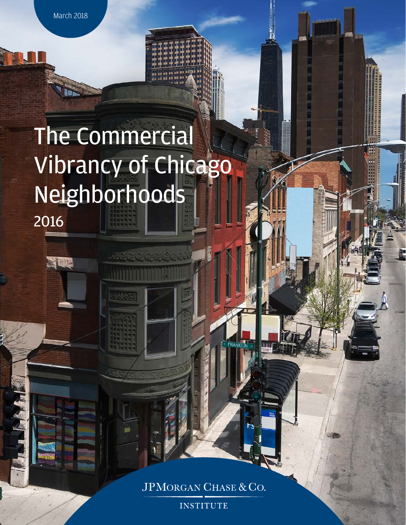March 2018

**RELL'E** 

# The Commercial Vibrancy of Chicago Neighborhoods 2016

JPMORGAN CHASE & CO.

**INSTITUTE**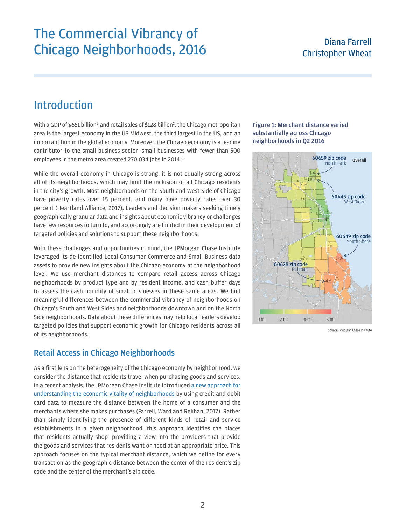### The Commercial Vibrancy of Chicago Neighborhoods, 2016 Diana Farrell

## Christopher Wheat

### Introduction

With a GDP of \$651 billion<sup>1</sup> and retail sales of \$1[2](#page-6-1)8 billion<sup>2</sup>, the Chicago metropolitan area is the largest economy in the US Midwest, the third largest in the US, and an important hub in the global economy. Moreover, the Chicago economy is a leading contributor to the small business sector—small businesses with fewer than 500 employees in the metro area created 270,0[3](#page-6-2)4 jobs in 2014.<sup>3</sup>

While the overall economy in Chicago is strong, it is not equally strong across all of its neighborhoods, which may limit the inclusion of all Chicago residents in the city's growth. Most neighborhoods on the South and West Side of Chicago have poverty rates over 15 percent, and many have poverty rates over 30 percent (Heartland Alliance, 2017). Leaders and decision makers seeking timely geographically granular data and insights about economic vibrancy or challenges have few resources to turn to, and accordingly are limited in their development of targeted policies and solutions to support these neighborhoods.

With these challenges and opportunities in mind, the JPMorgan Chase Institute leveraged its de-identified Local Consumer Commerce and Small Business data assets to provide new insights about the Chicago economy at the neighborhood level. We use merchant distances to compare retail access across Chicago neighborhoods by product type and by resident income, and cash buffer days to assess the cash liquidity of small businesses in these same areas. We find meaningful differences between the commercial vibrancy of neighborhoods on Chicago's South and West Sides and neighborhoods downtown and on the North Side neighborhoods. Data about these differences may help local leaders develop targeted policies that support economic growth for Chicago residents across all of its neighborhoods.

#### Retail Access in Chicago Neighborhoods

As a first lens on the heterogeneity of the Chicago economy by neighborhood, we consider the distance that residents travel when purchasing goods and services. In a recent analysis, the JPMorgan Chase Institute introduced [a new approach for](https://www.jpmorganchase.com/corporate/institute/document/institute-access-to-consumption-brief.pdf)  [understanding the economic vitality of neighborhoods](https://www.jpmorganchase.com/corporate/institute/document/institute-access-to-consumption-brief.pdf) by using credit and debit card data to measure the distance between the home of a consumer and the merchants where she makes purchases (Farrell, Ward and Relihan, 2017). Rather than simply identifying the presence of different kinds of retail and service establishments in a given neighborhood, this approach identifies the places that residents actually shop—providing a view into the providers that provide the goods and services that residents want or need at an appropriate price. This approach focuses on the typical merchant distance, which we define for every transaction as the geographic distance between the center of the resident's zip code and the center of the merchant's zip code.

#### Figure 1: Merchant distance varied substantially across Chicago neighborhoods in Q2 2016



Source: JPMorgan Chase Institute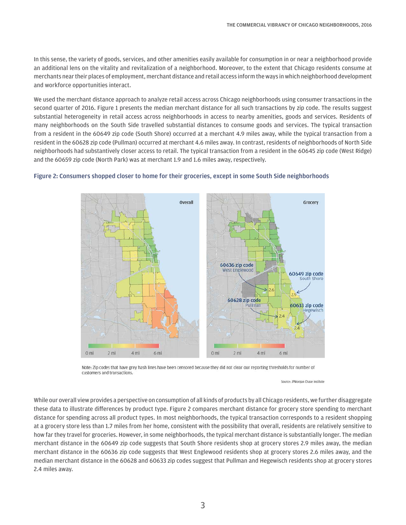In this sense, the variety of goods, services, and other amenities easily available for consumption in or near a neighborhood provide an additional lens on the vitality and revitalization of a neighborhood. Moreover, to the extent that Chicago residents consume at merchants near their places of employment, merchant distance and retail access inform the ways in which neighborhood development and workforce opportunities interact.

We used the merchant distance approach to analyze retail access across Chicago neighborhoods using consumer transactions in the second quarter of 2016. Figure 1 presents the median merchant distance for all such transactions by zip code. The results suggest substantial heterogeneity in retail access across neighborhoods in access to nearby amenities, goods and services. Residents of many neighborhoods on the South Side travelled substantial distances to consume goods and services. The typical transaction from a resident in the 60649 zip code (South Shore) occurred at a merchant 4.9 miles away, while the typical transaction from a resident in the 60628 zip code (Pullman) occurred at merchant 4.6 miles away. In contrast, residents of neighborhoods of North Side neighborhoods had substantively closer access to retail. The typical transaction from a resident in the 60645 zip code (West Ridge) and the 60659 zip code (North Park) was at merchant 1.9 and 1.6 miles away, respectively.



#### Figure 2: Consumers shopped closer to home for their groceries, except in some South Side neighborhoods

Note: Zip codes that have grey hash lines have been censored because they did not clear our reporting thresholds for number of customers and transactions.

Source: JPMorgan Chase Institute

While our overall view provides a perspective on consumption of all kinds of products by all Chicago residents, we further disaggregate these data to illustrate differences by product type. Figure 2 compares merchant distance for grocery store spending to merchant distance for spending across all product types. In most neighborhoods, the typical transaction corresponds to a resident shopping at a grocery store less than 1.7 miles from her home, consistent with the possibility that overall, residents are relatively sensitive to how far they travel for groceries. However, in some neighborhoods, the typical merchant distance is substantially longer. The median merchant distance in the 60649 zip code suggests that South Shore residents shop at grocery stores 2.9 miles away, the median merchant distance in the 60636 zip code suggests that West Englewood residents shop at grocery stores 2.6 miles away, and the median merchant distance in the 60628 and 60633 zip codes suggest that Pullman and Hegewisch residents shop at grocery stores 2.4 miles away.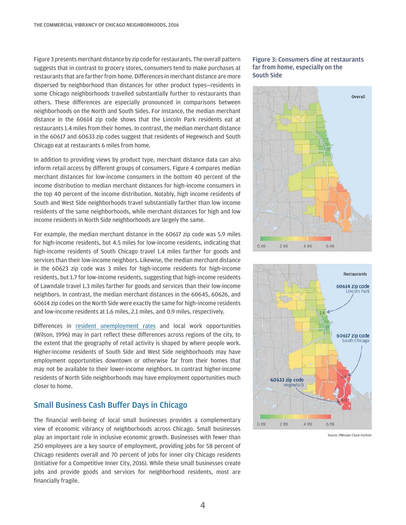Figure 3 presents merchant distance by zip code for restaurants. The overall pattern suggests that in contrast to grocery stores, consumers tend to make purchases at restaurants that are farther from home. Differences in merchant distance are more dispersed by neighborhood than distances for other product types—residents in some Chicago neighborhoods travelled substantially further to restaurants than others. These differences are especially pronounced in comparisons between neighborhoods on the North and South Sides. For instance, the median merchant distance in the 60614 zip code shows that the Lincoln Park residents eat at restaurants 1.4 miles from their homes. In contrast, the median merchant distance in the 60617 and 60633 zip codes suggest that residents of Hegewisch and South Chicago eat at restaurants 6 miles from home.

In addition to providing views by product type, merchant distance data can also inform retail access by different groups of consumers. Figure 4 compares median merchant distances for low-income consumers in the bottom 40 percent of the income distribution to median merchant distances for high-income consumers in the top 40 percent of the income distribution. Notably, high income residents of South and West Side neighborhoods travel substantially farther than low income residents of the same neighborhoods, while merchant distances for high and low income residents in North Side neighborhoods are largely the same.

For example, the median merchant distance in the 60617 zip code was 5.9 miles for high-income residents, but 4.5 miles for low-income residents, indicating that high-income residents of South Chicago travel 1.4 miles farther for goods and services than their low-income neighbors. Likewise, the median merchant distance in the 60623 zip code was 3 miles for high-income residents for high-income residents, but 1.7 for low-income residents, suggesting that high-income residents of Lawndale travel 1.3 miles farther for goods and services than their low-income neighbors. In contrast, the median merchant distances in the 60645, 60626, and 60614 zip codes on the North Side were exactly the same for high-income residents and low-income residents at 1.6 miles, 2.1 miles, and 0.9 miles, respectively.

Differences in [resident unemployment rates](https://www.heartlandalliance.org/povertyreport/our-findings/) and local work opportunities (Wilson, 1996) may in part reflect these differences across regions of the city, to the extent that the geography of retail activity is shaped by where people work. Higher-income residents of South Side and West Side neighborhoods may have employment opportunities downtown or otherwise far from their homes that may not be available to their lower-income neighbors. In contrast higher-income residents of North Side neighborhoods may have employment opportunities much closer to home.

#### Small Business Cash Buffer Days in Chicago

The financial well-being of local small businesses provides a complementary view of economic vibrancy of neighborhoods across Chicago. Small businesses play an important role in inclusive economic growth. Businesses with fewer than 250 employees are a key source of employment, providing jobs for 58 percent of Chicago residents overall and 70 percent of jobs for inner city Chicago residents (Initiative for a Competitive Inner City, 2016). While these small businesses create jobs and provide goods and services for neighborhood residents, most are financially fragile.

#### Figure 3: Consumers dine at restaurants far from home, especially on the South Side





Source: JPMorgan Chase Institute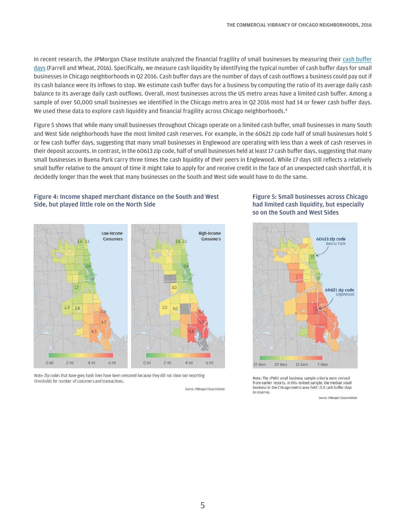In recent research, the JPMorgan Chase Institute analyzed the financial fragility of small businesses by measuring their [cash buffer](https://www.jpmorganchase.com/corporate/institute/report-cash-flows-balances-and-buffer-days.htm)  [days](https://www.jpmorganchase.com/corporate/institute/report-cash-flows-balances-and-buffer-days.htm) (Farrell and Wheat, 2016). Specifically, we measure cash liquidity by identifying the typical number of cash buffer days for small businesses in Chicago neighborhoods in Q2 2016. Cash buffer days are the number of days of cash outflows a business could pay out if its cash balance were its inflows to stop. We estimate cash buffer days for a business by computing the ratio of its average daily cash balance to its average daily cash outflows. Overall, most businesses across the US metro areas have a limited cash buffer. Among a sample of over 50,000 small businesses we identified in the Chicago metro area in Q2 2016 most had 14 or fewer cash buffer days. We used these data to explore cash liquidity and financial fragility across Chicago neighborhoods.<sup>4</sup>

Figure 5 shows that while many small businesses throughout Chicago operate on a limited cash buffer, small businesses in many South and West Side neighborhoods have the most limited cash reserves. For example, in the 60621 zip code half of small businesses hold 5 or few cash buffer days, suggesting that many small businesses in Englewood are operating with less than a week of cash reserves in their deposit accounts. In contrast, in the 60613 zip code, half of small businesses held at least 17 cash buffer days, suggesting that many small businesses in Buena Park carry three times the cash liquidity of their peers in Englewood. While 17 days still reflects a relatively small buffer relative to the amount of time it might take to apply for and receive credit in the face of an unexpected cash shortfall, it is decidedly longer than the week that many businesses on the South and West side would have to do the same.

#### Figure 4: Income shaped merchant distance on the South and West Side, but played little role on the North Side



Note: Zip codes that have grey hash lines have been censored because they did not clear our reporting thresholds for number of customers and transactions.

Source: JPMorgan Chase Institute

#### Figure 5: Small businesses across Chicago had limited cash liquidity, but especially so on the South and West Sides



Note: The JPMCI small business sample criteria were revised from earlier reports. In this revised sample, the median small business in the Chicago metro area held 13.3 cash buffer days in reserve.

Source: JPMorgan Chase Institute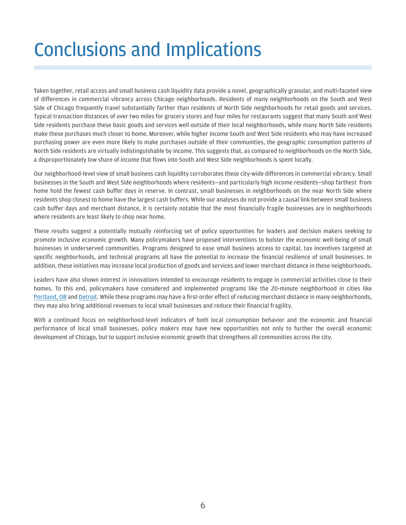## Conclusions and Implications

Taken together, retail access and small business cash liquidity data provide a novel, geographically granular, and multi-faceted view of differences in commercial vibrancy across Chicago neighborhoods. Residents of many neighborhoods on the South and West Side of Chicago frequently travel substantially farther than residents of North Side neighborhoods for retail goods and services. Typical transaction distances of over two miles for grocery stores and four miles for restaurants suggest that many South and West Side residents purchase these basic goods and services well outside of their local neighborhoods, while many North Side residents make these purchases much closer to home. Moreover, while higher income South and West Side residents who may have increased purchasing power are even more likely to make purchases outside of their communities, the geographic consumption patterns of North Side residents are virtually indistinguishable by income. This suggests that, as compared to neighborhoods on the North Side, a disproportionately low share of income that flows into South and West Side neighborhoods is spent locally.

Our neighborhood-level view of small business cash liquidity corroborates these city-wide differences in commercial vibrancy. Small businesses in the South and West Side neighborhoods where residents—and particularly high income residents—shop farthest from home hold the fewest cash buffer days in reserve. In contrast, small businesses in neighborhoods on the near North Side where residents shop closest to home have the largest cash buffers. While our analyses do not provide a causal link between small business cash buffer days and merchant distance, it is certainly notable that the most financially fragile businesses are in neighborhoods where residents are least likely to shop near home.

These results suggest a potentially mutually reinforcing set of policy opportunities for leaders and decision makers seeking to promote inclusive economic growth. Many policymakers have proposed interventions to bolster the economic well-being of small businesses in underserved communities. Programs designed to ease small business access to capital, tax incentives targeted at specific neighborhoods, and technical programs all have the potential to increase the financial resilience of small businesses. In addition, these initiatives may increase local production of goods and services and lower merchant distance in these neighborhoods.

Leaders have also shown interest in innovations intended to encourage residents to engage in commercial activities close to their homes. To this end, policymakers have considered and implemented programs like the 20-minute neighborhood in cities like [Portland, OR](http://www.portlandonline.com/portlandplan/index.cfm?a=288098&c=52256) and [Detroit](https://prod.beeline.com/jpmc/Security/NewLogin.aspx?SSOUrl=https%3a%2f%2fsaml.bankone.com%2fpublic%2fsaml2sso%3fSPID%3dBEELINESAML20&scmsg=ezpBdXRoZW50aWNhdGlvbk1vZHVsZS5UaW1lT3V0fQ%3d%3d%7cmZkrM%2bQPzpjVmKJAmO7BDRgTmCTDaQKWQRdlw%2fJur10%3dhttps://www.freep.com/story/opinion/contributors/2016/06/14/could-20-minute-neighborhood-work-detroit/85847554/). While these programs may have a first-order effect of reducing merchant distance in many neighborhoods, they may also bring additional revenues to local small businesses and reduce their financial fragility.

With a continued focus on neighborhood-level indicators of both local consumption behavior and the economic and financial performance of local small businesses, policy makers may have new opportunities not only to further the overall economic development of Chicago, but to support inclusive economic growth that strengthens all communities across the city.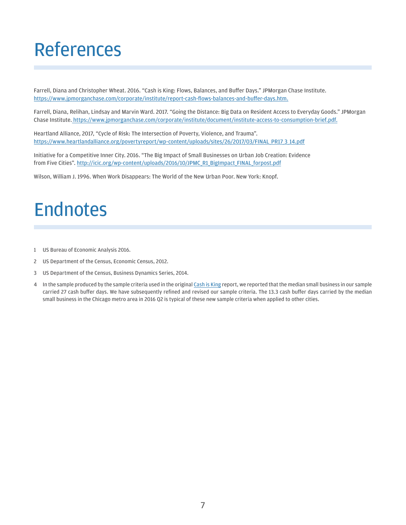## References

Farrell, Diana and Christopher Wheat. 2016. "Cash is King: Flows, Balances, and Buffer Days." JPMorgan Chase Institute. [https://www.jpmorganchase.com/corporate/institute/report-cash-flows-balances-and-buffer-days.htm.](https://www.jpmorganchase.com/corporate/institute/report-cash-flows-balances-and-buffer-days.htm)

Farrell, Diana, Relihan, Lindsay and Marvin Ward. 2017. "Going the Distance: Big Data on Resident Access to Everyday Goods." JPMorgan Chase Institute. [https://www.jpmorganchase.com/corporate/institute/document/institute-access-to-consumption-brief.pdf.](https://www.jpmorganchase.com/corporate/institute/document/institute-access-to-consumption-brief.pdf)

Heartland Alliance, 2017, "Cycle of Risk: The Intersection of Poverty, Violence, and Trauma". [https://www.heartlandalliance.org/povertyreport/wp-content/uploads/sites/26/2017/03/FINAL\\_PR17\\_3\\_14.pdf](https://www.heartlandalliance.org/povertyreport/wp-content/uploads/sites/26/2017/03/FINAL_PR17_3_14.pdf)

Initiative for a Competitive Inner City. 2016. "The Big Impact of Small Businesses on Urban Job Creation: Evidence from Five Cities". [http://icic.org/wp-content/uploads/2016/10/JPMC\\_R1\\_BigImpact\\_FINAL\\_forpost.pdf](http://icic.org/wp-content/uploads/2016/10/JPMC_R1_BigImpact_FINAL_forpost.pdf)

Wilson, William J. 1996. When Work Disappears: The World of the New Urban Poor. New York: Knopf.

## Endnotes

- <span id="page-6-0"></span>1 US Bureau of Economic Analysis 2016.
- <span id="page-6-1"></span>2 US Department of the Census, Economic Census, 2012.
- <span id="page-6-2"></span>3 US Department of the Census, Business Dynamics Series, 2014.
- <span id="page-6-3"></span>4 In the sample produced by the sample criteria used in the original [Cash is King](https://www.jpmorganchase.com/corporate/institute/report-cash-flows-balances-and-buffer-days.htm) report, we reported that the median small business in our sample carried 27 cash buffer days. We have subsequently refined and revised our sample criteria. The 13.3 cash buffer days carried by the median small business in the Chicago metro area in 2016 Q2 is typical of these new sample criteria when applied to other cities.